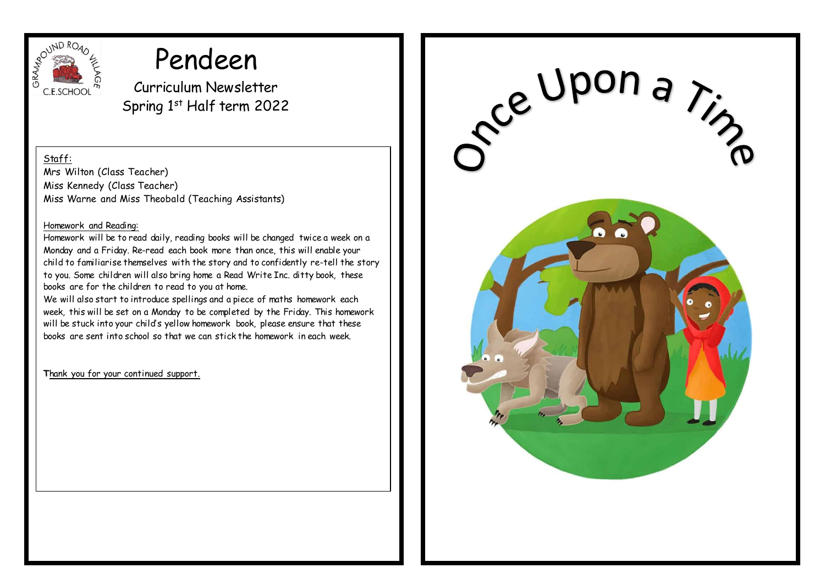

# Pendeen

Curriculum Newsletter Spring 1st Half term 2022

Staff:

Mrs Wilton (Class Teacher) Miss Kennedy (Class Teacher) Miss Warne and Miss Theobald (Teaching Assistants)

# Homework and Reading:

Homework will be to read daily, reading books will be changed twice a week on a Monday and a Friday. Re-read each book more than once, this will enable your child to familiarise themselves with the story and to confidently re-tell the story to you. Some children will also bring home a Read Write Inc. ditty book, these books are for the children to read to you at home.

We will also start to introduce spellings and a piece of maths homework each week, this will be set on a Monday to be completed by the Friday. This homework will be stuck into your child's yellow homework book, please ensure that these books are sent into school so that we can stick the homework in each week.

**T**hank you for your continued support.

re Upon a ring